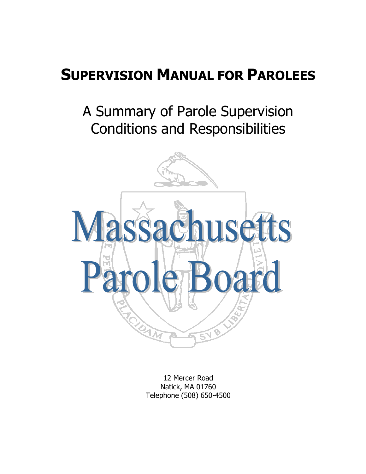# **SUPERVISION MANUAL FOR PAROLEES**

# A Summary of Parole Supervision Conditions and Responsibilities



12 Mercer Road Natick, MA 01760 Telephone (508) 650-4500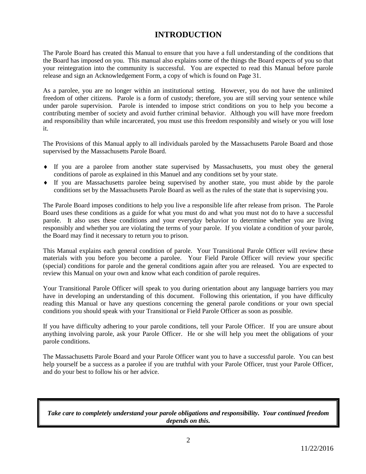# **INTRODUCTION**

The Parole Board has created this Manual to ensure that you have a full understanding of the conditions that the Board has imposed on you. This manual also explains some of the things the Board expects of you so that your reintegration into the community is successful. You are expected to read this Manual before parole release and sign an Acknowledgement Form, a copy of which is found on Page 31.

As a parolee, you are no longer within an institutional setting. However, you do not have the unlimited freedom of other citizens. Parole is a form of custody; therefore, you are still serving your sentence while under parole supervision. Parole is intended to impose strict conditions on you to help you become a contributing member of society and avoid further criminal behavior. Although you will have more freedom and responsibility than while incarcerated, you must use this freedom responsibly and wisely or you will lose it.

The Provisions of this Manual apply to all individuals paroled by the Massachusetts Parole Board and those supervised by the Massachusetts Parole Board.

- If you are a parolee from another state supervised by Massachusetts, you must obey the general conditions of parole as explained in this Manuel and any conditions set by your state.
- If you are Massachusetts parolee being supervised by another state, you must abide by the parole conditions set by the Massachusetts Parole Board as well as the rules of the state that is supervising you.

The Parole Board imposes conditions to help you live a responsible life after release from prison. The Parole Board uses these conditions as a guide for what you must do and what you must not do to have a successful parole. It also uses these conditions and your everyday behavior to determine whether you are living responsibly and whether you are violating the terms of your parole. If you violate a condition of your parole, the Board may find it necessary to return you to prison.

This Manual explains each general condition of parole. Your Transitional Parole Officer will review these materials with you before you become a parolee. Your Field Parole Officer will review your specific (special) conditions for parole and the general conditions again after you are released. You are expected to review this Manual on your own and know what each condition of parole requires.

Your Transitional Parole Officer will speak to you during orientation about any language barriers you may have in developing an understanding of this document. Following this orientation, if you have difficulty reading this Manual or have any questions concerning the general parole conditions or your own special conditions you should speak with your Transitional or Field Parole Officer as soon as possible.

If you have difficulty adhering to your parole conditions, tell your Parole Officer. If you are unsure about anything involving parole, ask your Parole Officer. He or she will help you meet the obligations of your parole conditions.

The Massachusetts Parole Board and your Parole Officer want you to have a successful parole. You can best help yourself be a success as a parolee if you are truthful with your Parole Officer, trust your Parole Officer, and do your best to follow his or her advice.

*Take care to completely understand your parole obligations and responsibility. Your continued freedom depends on this.*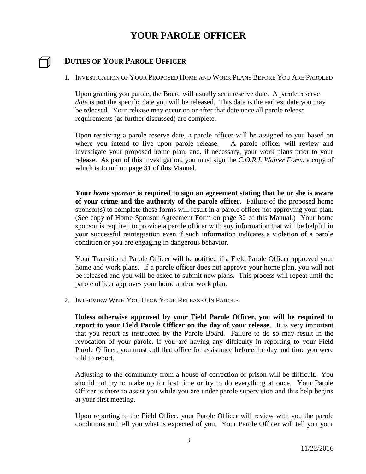# **YOUR PAROLE OFFICER**

# **DUTIES OF YOUR PAROLE OFFICER**

1. INVESTIGATION OF YOUR PROPOSED HOME AND WORK PLANS BEFORE YOU ARE PAROLED

Upon granting you parole, the Board will usually set a reserve date. A parole reserve *date* is **not** the specific date you will be released. This date is the earliest date you may be released. Your release may occur on or after that date once all parole release requirements (as further discussed) are complete.

Upon receiving a parole reserve date, a parole officer will be assigned to you based on where you intend to live upon parole release. A parole officer will review and investigate your proposed home plan, and, if necessary, your work plans prior to your release. As part of this investigation, you must sign the *C.O.R.I. Waiver Form*, a copy of which is found on page 31 of this Manual.

**Your** *home sponsor* **is required to sign an agreement stating that he or she is aware of your crime and the authority of the parole officer.** Failure of the proposed home sponsor(s) to complete these forms will result in a parole officer not approving your plan. (See copy of Home Sponsor Agreement Form on page 32 of this Manual.) Your home sponsor is required to provide a parole officer with any information that will be helpful in your successful reintegration even if such information indicates a violation of a parole condition or you are engaging in dangerous behavior.

Your Transitional Parole Officer will be notified if a Field Parole Officer approved your home and work plans. If a parole officer does not approve your home plan, you will not be released and you will be asked to submit new plans. This process will repeat until the parole officer approves your home and/or work plan.

2. INTERVIEW WITH YOU UPON YOUR RELEASE ON PAROLE

**Unless otherwise approved by your Field Parole Officer, you will be required to report to your Field Parole Officer on the day of your release**. It is very important that you report as instructed by the Parole Board. Failure to do so may result in the revocation of your parole. If you are having any difficulty in reporting to your Field Parole Officer, you must call that office for assistance **before** the day and time you were told to report.

Adjusting to the community from a house of correction or prison will be difficult. You should not try to make up for lost time or try to do everything at once. Your Parole Officer is there to assist you while you are under parole supervision and this help begins at your first meeting.

Upon reporting to the Field Office, your Parole Officer will review with you the parole conditions and tell you what is expected of you. Your Parole Officer will tell you your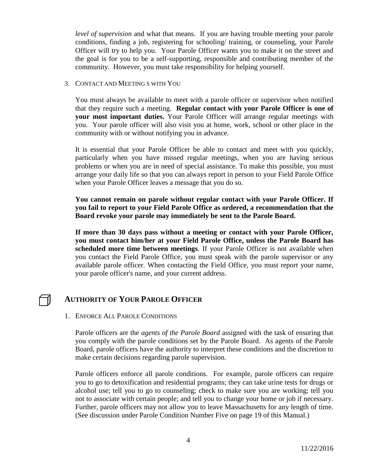*level of supervision* and what that means. If you are having trouble meeting your parole conditions, finding a job, registering for schooling/ training, or counseling, your Parole Officer will try to help you. Your Parole Officer wants you to make it on the street and the goal is for you to be a self-supporting, responsible and contributing member of the community. However, you must take responsibility for helping yourself.

3. CONTACT AND MEETING S WITH YOU

You must always be available to meet with a parole officer or supervisor when notified that they require such a meeting. **Regular contact with your Parole Officer is one of your most important duties.** Your Parole Officer will arrange regular meetings with you. Your parole officer will also visit you at home, work, school or other place in the community with or without notifying you in advance.

It is essential that your Parole Officer be able to contact and meet with you quickly, particularly when you have missed regular meetings, when you are having serious problems or when you are in need of special assistance. To make this possible, you must arrange your daily life so that you can always report in person to your Field Parole Office when your Parole Officer leaves a message that you do so.

**You cannot remain on parole without regular contact with your Parole Officer. If you fail to report to your Field Parole Office as ordered, a recommendation that the Board revoke your parole may immediately be sent to the Parole Board.**

**If more than 30 days pass without a meeting or contact with your Parole Officer, you must contact him/her at your Field Parole Office, unless the Parole Board has scheduled more time between meetings**. If your Parole Officer is not available when you contact the Field Parole Office, you must speak with the parole supervisor or any available parole officer. When contacting the Field Office, you must report your name, your parole officer's name, and your current address.

# **AUTHORITY OF YOUR PAROLE OFFICER**

### 1. ENFORCE ALL PAROLE CONDITIONS

Parole officers are the *agents of the Parole Board* assigned with the task of ensuring that you comply with the parole conditions set by the Parole Board. As agents of the Parole Board, parole officers have the authority to interpret these conditions and the discretion to make certain decisions regarding parole supervision.

Parole officers enforce all parole conditions. For example, parole officers can require you to go to detoxification and residential programs; they can take urine tests for drugs or alcohol use; tell you to go to counseling; check to make sure you are working; tell you not to associate with certain people; and tell you to change your home or job if necessary. Further, parole officers may not allow you to leave Massachusetts for any length of time. (See discussion under Parole Condition Number Five on page 19 of this Manual.)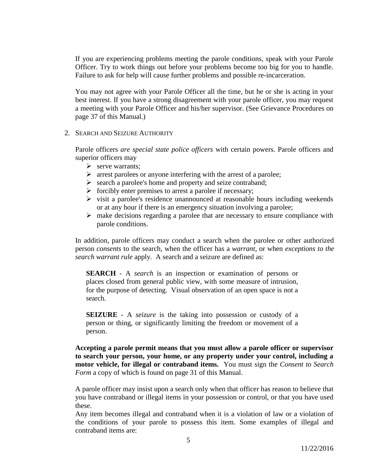If you are experiencing problems meeting the parole conditions, speak with your Parole Officer. Try to work things out before your problems become too big for you to handle. Failure to ask for help will cause further problems and possible re-incarceration.

You may not agree with your Parole Officer all the time, but he or she is acting in your best interest. If you have a strong disagreement with your parole officer, you may request a meeting with your Parole Officer and his/her supervisor. (See Grievance Procedures on page 37 of this Manual.)

### 2. SEARCH AND SEIZURE AUTHORITY

Parole officers *are special state police officers* with certain powers. Parole officers and superior officers may

- $\triangleright$  serve warrants:
- $\triangleright$  arrest parolees or anyone interfering with the arrest of a parolee;
- $\triangleright$  search a parolee's home and property and seize contraband;
- $\triangleright$  forcibly enter premises to arrest a parolee if necessary;
- $\triangleright$  visit a parolee's residence unannounced at reasonable hours including weekends or at any hour if there is an emergency situation involving a parolee;
- $\triangleright$  make decisions regarding a parolee that are necessary to ensure compliance with parole conditions.

In addition, parole officers may conduct a search when the parolee or other authorized person *consents* to the search, when the officer has a *warrant*, or when *exceptions to the search warrant rule* apply. A search and a seizure are defined as:

**SEARCH** - A *search* is an inspection or examination of persons or places closed from general public view, with some measure of intrusion, for the purpose of detecting. Visual observation of an open space is not a search.

**SEIZURE** - A *seizure* is the taking into possession or custody of a person or thing, or significantly limiting the freedom or movement of a person.

**Accepting a parole permit means that you must allow a parole officer or supervisor to search your person, your home, or any property under your control, including a motor vehicle, for illegal or contraband items.** You must sign the *Consent to Search Form* a copy of which is found on page 31 of this Manual.

A parole officer may insist upon a search only when that officer has reason to believe that you have contraband or illegal items in your possession or control, or that you have used these.

Any item becomes illegal and contraband when it is a violation of law or a violation of the conditions of your parole to possess this item. Some examples of illegal and contraband items are: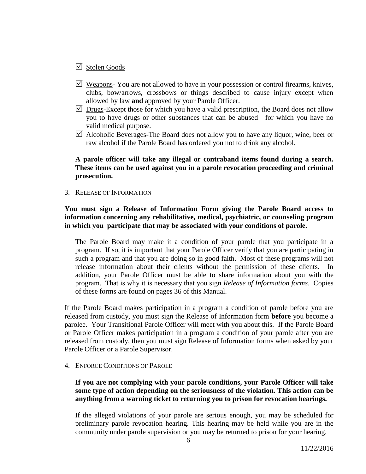# $\boxtimes$  Stolen Goods

- $\triangledown$  Weapons-You are not allowed to have in your possession or control firearms, knives, clubs, bow/arrows, crossbows or things described to cause injury except when allowed by law **and** approved by your Parole Officer.
- $\triangledown$  Drugs-Except those for which you have a valid prescription, the Board does not allow you to have drugs or other substances that can be abused—for which you have no valid medical purpose.
- $\triangledown$  Alcoholic Beverages-The Board does not allow you to have any liquor, wine, beer or raw alcohol if the Parole Board has ordered you not to drink any alcohol.

### **A parole officer will take any illegal or contraband items found during a search. These items can be used against you in a parole revocation proceeding and criminal prosecution.**

3. RELEASE OF INFORMATION

### **You must sign a Release of Information Form giving the Parole Board access to information concerning any rehabilitative, medical, psychiatric, or counseling program in which you participate that may be associated with your conditions of parole.**

The Parole Board may make it a condition of your parole that you participate in a program. If so, it is important that your Parole Officer verify that you are participating in such a program and that you are doing so in good faith. Most of these programs will not release information about their clients without the permission of these clients. addition, your Parole Officer must be able to share information about you with the program. That is why it is necessary that you sign *Release of Information forms*. Copies of these forms are found on pages 36 of this Manual.

If the Parole Board makes participation in a program a condition of parole before you are released from custody, you must sign the Release of Information form **before** you become a parolee. Your Transitional Parole Officer will meet with you about this. If the Parole Board or Parole Officer makes participation in a program a condition of your parole after you are released from custody, then you must sign Release of Information forms when asked by your Parole Officer or a Parole Supervisor.

### 4. ENFORCE CONDITIONS OF PAROLE

### **If you are not complying with your parole conditions, your Parole Officer will take some type of action depending on the seriousness of the violation. This action can be anything from a warning ticket to returning you to prison for revocation hearings.**

If the alleged violations of your parole are serious enough, you may be scheduled for preliminary parole revocation hearing. This hearing may be held while you are in the community under parole supervision or you may be returned to prison for your hearing.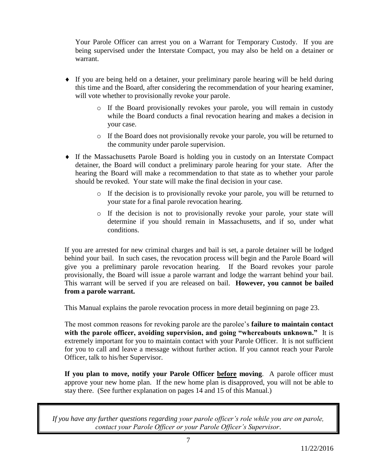Your Parole Officer can arrest you on a Warrant for Temporary Custody. If you are being supervised under the Interstate Compact, you may also be held on a detainer or warrant.

- If you are being held on a detainer, your preliminary parole hearing will be held during this time and the Board, after considering the recommendation of your hearing examiner, will vote whether to provisionally revoke your parole.
	- o If the Board provisionally revokes your parole, you will remain in custody while the Board conducts a final revocation hearing and makes a decision in your case.
	- o If the Board does not provisionally revoke your parole, you will be returned to the community under parole supervision.
- If the Massachusetts Parole Board is holding you in custody on an Interstate Compact detainer, the Board will conduct a preliminary parole hearing for your state. After the hearing the Board will make a recommendation to that state as to whether your parole should be revoked. Your state will make the final decision in your case.
	- o If the decision is to provisionally revoke your parole, you will be returned to your state for a final parole revocation hearing.
	- o If the decision is not to provisionally revoke your parole, your state will determine if you should remain in Massachusetts, and if so, under what conditions.

If you are arrested for new criminal charges and bail is set, a parole detainer will be lodged behind your bail. In such cases, the revocation process will begin and the Parole Board will give you a preliminary parole revocation hearing. If the Board revokes your parole provisionally, the Board will issue a parole warrant and lodge the warrant behind your bail. This warrant will be served if you are released on bail. **However, you cannot be bailed from a parole warrant.**

This Manual explains the parole revocation process in more detail beginning on page 23.

The most common reasons for revoking parole are the parolee's **failure to maintain contact with the parole officer, avoiding supervision, and going "whereabouts unknown."** It is extremely important for you to maintain contact with your Parole Officer. It is not sufficient for you to call and leave a message without further action. If you cannot reach your Parole Officer, talk to his/her Supervisor.

**If you plan to move, notify your Parole Officer before moving**. A parole officer must approve your new home plan. If the new home plan is disapproved, you will not be able to stay there. (See further explanation on pages 14 and 15 of this Manual.)

*If you have any further questions regarding your parole officer's role while you are on parole, contact your Parole Officer or your Parole Officer's Supervisor*.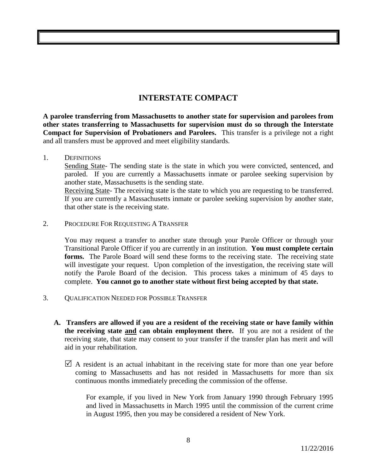# **INTERSTATE COMPACT**

**A parolee transferring from Massachusetts to another state for supervision and parolees from other states transferring to Massachusetts for supervision must do so through the Interstate Compact for Supervision of Probationers and Parolees.** This transfer is a privilege not a right and all transfers must be approved and meet eligibility standards.

1. DEFINITIONS

Sending State- The sending state is the state in which you were convicted, sentenced, and paroled. If you are currently a Massachusetts inmate or parolee seeking supervision by another state, Massachusetts is the sending state.

Receiving State- The receiving state is the state to which you are requesting to be transferred. If you are currently a Massachusetts inmate or parolee seeking supervision by another state, that other state is the receiving state.

2. PROCEDURE FOR REQUESTING A TRANSFER

You may request a transfer to another state through your Parole Officer or through your Transitional Parole Officer if you are currently in an institution. **You must complete certain**  forms. The Parole Board will send these forms to the receiving state. The receiving state will investigate your request. Upon completion of the investigation, the receiving state will notify the Parole Board of the decision. This process takes a minimum of 45 days to complete. **You cannot go to another state without first being accepted by that state.**

- 3. QUALIFICATION NEEDED FOR POSSIBLE TRANSFER
	- **A. Transfers are allowed if you are a resident of the receiving state or have family within the receiving state and can obtain employment there.** If you are not a resident of the receiving state, that state may consent to your transfer if the transfer plan has merit and will aid in your rehabilitation.
		- $\triangledown$  A resident is an actual inhabitant in the receiving state for more than one year before coming to Massachusetts and has not resided in Massachusetts for more than six continuous months immediately preceding the commission of the offense.

For example, if you lived in New York from January 1990 through February 1995 and lived in Massachusetts in March 1995 until the commission of the current crime in August 1995, then you may be considered a resident of New York.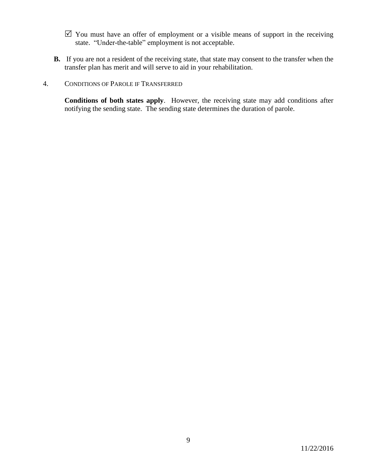- $\boxtimes$  You must have an offer of employment or a visible means of support in the receiving state. "Under-the-table" employment is not acceptable.
- **B.** If you are not a resident of the receiving state, that state may consent to the transfer when the transfer plan has merit and will serve to aid in your rehabilitation.

### 4. CONDITIONS OF PAROLE IF TRANSFERRED

**Conditions of both states apply**. However, the receiving state may add conditions after notifying the sending state. The sending state determines the duration of parole.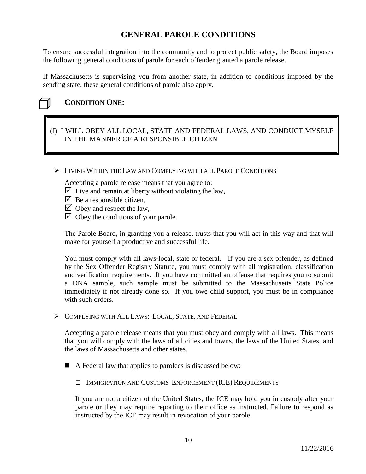# **GENERAL PAROLE CONDITIONS**

To ensure successful integration into the community and to protect public safety, the Board imposes the following general conditions of parole for each offender granted a parole release.

If Massachusetts is supervising you from another state, in addition to conditions imposed by the sending state, these general conditions of parole also apply.



# **CONDITION ONE:**

# (I) I WILL OBEY ALL LOCAL, STATE AND FEDERAL LAWS, AND CONDUCT MYSELF IN THE MANNER OF A RESPONSIBLE CITIZEN

LIVING WITHIN THE LAW AND COMPLYING WITH ALL PAROLE CONDITIONS

Accepting a parole release means that you agree to:

- $\triangledown$  Live and remain at liberty without violating the law,
- $\triangleright$  Be a responsible citizen,
- $\triangledown$  Obey and respect the law,
- $\boxtimes$  Obey the conditions of your parole.

The Parole Board, in granting you a release, trusts that you will act in this way and that will make for yourself a productive and successful life.

You must comply with all laws-local, state or federal. If you are a sex offender, as defined by the Sex Offender Registry Statute, you must comply with all registration, classification and verification requirements. If you have committed an offense that requires you to submit a DNA sample, such sample must be submitted to the Massachusetts State Police immediately if not already done so. If you owe child support, you must be in compliance with such orders.

COMPLYING WITH ALL LAWS: LOCAL, STATE, AND FEDERAL

Accepting a parole release means that you must obey and comply with all laws. This means that you will comply with the laws of all cities and towns, the laws of the United States, and the laws of Massachusetts and other states.

■ A Federal law that applies to parolees is discussed below:

IMMIGRATION AND CUSTOMS ENFORCEMENT (ICE) REQUIREMENTS

If you are not a citizen of the United States, the ICE may hold you in custody after your parole or they may require reporting to their office as instructed. Failure to respond as instructed by the ICE may result in revocation of your parole.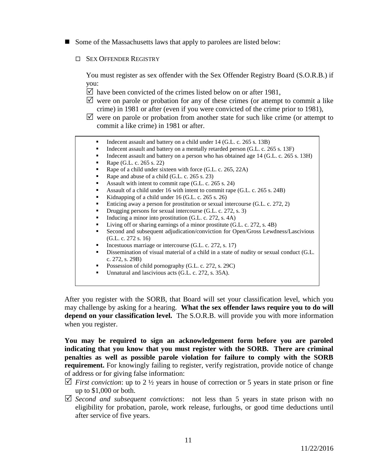- Some of the Massachusetts laws that apply to parolees are listed below:
	- **OFFENDER REGISTRY**

You must register as sex offender with the Sex Offender Registry Board (S.O.R.B.) if you:

- $\triangledown$  have been convicted of the crimes listed below on or after 1981,
- $\triangledown$  were on parole or probation for any of these crimes (or attempt to commit a like crime) in 1981 or after (even if you were convicted of the crime prior to 1981),
- $\triangledown$  were on parole or probation from another state for such like crime (or attempt to commit a like crime) in 1981 or after.
	- Indecent assault and battery on a child under 14 (G.L. c. 265 s. 13B)
	- Indecent assault and battery on a mentally retarded person (G.L. c. 265 s. 13F)
	- Indecent assault and battery on a person who has obtained age 14 (G.L. c. 265 s. 13H)
	- Rape (G.L. c. 265 s. 22)
	- Rape of a child under sixteen with force (G.L. c. 265, 22A)
	- Rape and abuse of a child (G.L. c. 265 s. 23)
	- Assault with intent to commit rape (G.L. c. 265 s. 24)
	- Assault of a child under 16 with intent to commit rape (G.L. c. 265 s. 24B)
	- Kidnapping of a child under  $16$  (G.L. c. 265 s. 26)
	- **Enticing away a person for prostitution or sexual intercourse (G.L. c. 272, 2)**
	- Drugging persons for sexual intercourse (G.L. c. 272, s. 3)
	- Inducing a minor into prostitution  $(G.L. c. 272, s. 4A)$
	- Ultimate Living of f or sharing earnings of a minor prostitute (G.L. c. 272, s. 4B)
	- Second and subsequent adjudication/conviction for Open/Gross Lewdness/Lascivious (G.L. c. 272 s. 16)
	- Incestuous marriage or intercourse (G.L. c. 272, s. 17)
	- Dissemination of visual material of a child in a state of nudity or sexual conduct (G.L. c. 272, s. 29B)
	- Possession of child pornography (G.L. c. 272, s. 29C)
	- Unnatural and lascivious acts (G.L. c. 272, s. 35A).

After you register with the SORB, that Board will set your classification level, which you may challenge by asking for a hearing. **What the sex offender laws require you to do will depend on your classification level.** The S.O.R.B. will provide you with more information when you register.

**You may be required to sign an acknowledgement form before you are paroled indicating that you know that you must register with the SORB. There are criminal penalties as well as possible parole violation for failure to comply with the SORB requirement.** For knowingly failing to register, verify registration, provide notice of change of address or for giving false information:

- *First conviction*: up to 2  $\frac{1}{2}$  years in house of correction or 5 years in state prison or fine up to \$1,000 or both.
- *Second and subsequent convictions*: not less than 5 years in state prison with no eligibility for probation, parole, work release, furloughs, or good time deductions until after service of five years.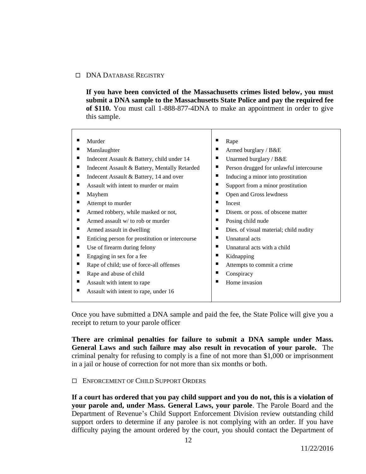### DNA DATABASE REGISTRY

**If you have been convicted of the Massachusetts crimes listed below, you must submit a DNA sample to the Massachusetts State Police and pay the required fee of \$110.** You must call 1-888-877-4DNA to make an appointment in order to give this sample.

| Murder                                          | п<br>Rape                               |
|-------------------------------------------------|-----------------------------------------|
| Manslaughter                                    | п                                       |
| ш                                               | Armed burglary / B&E                    |
| ш                                               | п                                       |
| Indecent Assault & Battery, child under 14      | Unarmed burglary / B&E                  |
| ш                                               |                                         |
| Indecent Assault & Battery, Mentally Retarded   | Person drugged for unlawful intercourse |
| ш                                               | п                                       |
| Indecent Assault & Battery, 14 and over         | Inducing a minor into prostitution      |
| ■                                               | п                                       |
| Assault with intent to murder or maim           | Support from a minor prostitution       |
| п                                               | ■                                       |
| Mayhem                                          | Open and Gross lewdness                 |
| ш                                               |                                         |
| Attempt to murder                               | Incest                                  |
| ш                                               |                                         |
| Armed robbery, while masked or not,             | Disem. or poss. of obscene matter       |
| ш                                               | ■                                       |
| Armed assault w/ to rob or murder               | Posing child nude                       |
| ш                                               | п                                       |
| Armed assault in dwelling                       | Dies. of visual material; child nudity  |
| ш                                               |                                         |
| Enticing person for prostitution or intercourse | Unnatural acts                          |
| ш                                               |                                         |
| Use of firearm during felony                    | Unnatural acts with a child             |
| ш                                               | п                                       |
| Engaging in sex for a fee                       | Kidnapping                              |
| ш                                               | ■                                       |
| Rape of child; use of force-all offenses        | Attempts to commit a crime              |
| Rape and abuse of child                         | п                                       |
| ш                                               | Conspiracy                              |
| ш                                               | п                                       |
| Assault with intent to rape                     | Home invasion                           |
| ш<br>Assault with intent to rape, under 16      |                                         |
|                                                 |                                         |

Once you have submitted a DNA sample and paid the fee, the State Police will give you a receipt to return to your parole officer

**There are criminal penalties for failure to submit a DNA sample under Mass. General Laws and such failure may also result in revocation of your parole.** The criminal penalty for refusing to comply is a fine of not more than \$1,000 or imprisonment in a jail or house of correction for not more than six months or both.

### ENFORCEMENT OF CHILD SUPPORT ORDERS

**If a court has ordered that you pay child support and you do not, this is a violation of your parole and, under Mass. General Laws, your parole**. The Parole Board and the Department of Revenue's Child Support Enforcement Division review outstanding child support orders to determine if any parolee is not complying with an order. If you have difficulty paying the amount ordered by the court, you should contact the Department of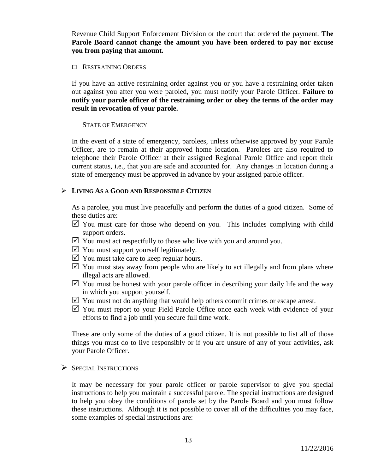Revenue Child Support Enforcement Division or the court that ordered the payment. **The Parole Board cannot change the amount you have been ordered to pay nor excuse you from paying that amount.** 

### **E** RESTRAINING ORDERS

If you have an active restraining order against you or you have a restraining order taken out against you after you were paroled, you must notify your Parole Officer. **Failure to notify your parole officer of the restraining order or obey the terms of the order may result in revocation of your parole.**

### STATE OF EMERGENCY

In the event of a state of emergency, parolees, unless otherwise approved by your Parole Officer, are to remain at their approved home location. Parolees are also required to telephone their Parole Officer at their assigned Regional Parole Office and report their current status, i.e., that you are safe and accounted for. Any changes in location during a state of emergency must be approved in advance by your assigned parole officer.

### **LIVING AS A GOOD AND RESPONSIBLE CITIZEN**

As a parolee, you must live peacefully and perform the duties of a good citizen. Some of these duties are:

- $\triangledown$  You must care for those who depend on you. This includes complying with child support orders.
- $\boxtimes$  You must act respectfully to those who live with you and around you.
- $\triangledown$  You must support yourself legitimately.
- $\triangledown$  You must take care to keep regular hours.
- $\triangledown$  You must stay away from people who are likely to act illegally and from plans where illegal acts are allowed.
- $\triangledown$  You must be honest with your parole officer in describing your daily life and the way in which you support yourself.
- $\boxtimes$  You must not do anything that would help others commit crimes or escape arrest.
- $\boxtimes$  You must report to your Field Parole Office once each week with evidence of your efforts to find a job until you secure full time work.

These are only some of the duties of a good citizen. It is not possible to list all of those things you must do to live responsibly or if you are unsure of any of your activities, ask your Parole Officer.

 $\triangleright$  SPECIAL INSTRUCTIONS

It may be necessary for your parole officer or parole supervisor to give you special instructions to help you maintain a successful parole. The special instructions are designed to help you obey the conditions of parole set by the Parole Board and you must follow these instructions. Although it is not possible to cover all of the difficulties you may face, some examples of special instructions are: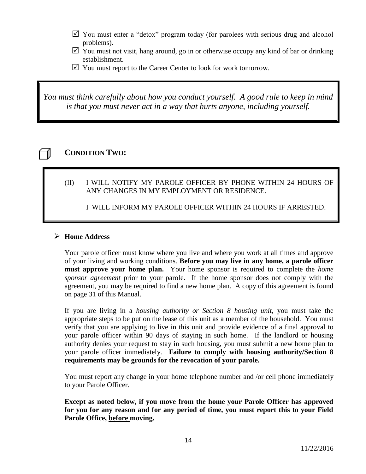- $\boxtimes$  You must enter a "detox" program today (for parolees with serious drug and alcohol problems).
- $\triangledown$  You must not visit, hang around, go in or otherwise occupy any kind of bar or drinking establishment.
- $\triangledown$  You must report to the Career Center to look for work tomorrow.

*You must think carefully about how you conduct yourself. A good rule to keep in mind is that you must never act in a way that hurts anyone, including yourself.*

# **CONDITION TWO:**

(II) I WILL NOTIFY MY PAROLE OFFICER BY PHONE WITHIN 24 HOURS OF ANY CHANGES IN MY EMPLOYMENT OR RESIDENCE.

I WILL INFORM MY PAROLE OFFICER WITHIN 24 HOURS IF ARRESTED.

# **Home Address**

Your parole officer must know where you live and where you work at all times and approve of your living and working conditions. **Before you may live in any home, a parole officer must approve your home plan.** Your home sponsor is required to complete the *home sponsor agreement* prior to your parole. If the home sponsor does not comply with the agreement, you may be required to find a new home plan. A copy of this agreement is found on page 31 of this Manual.

If you are living in a *housing authority or Section 8 housing unit*, you must take the appropriate steps to be put on the lease of this unit as a member of the household. You must verify that you are applying to live in this unit and provide evidence of a final approval to your parole officer within 90 days of staying in such home. If the landlord or housing authority denies your request to stay in such housing, you must submit a new home plan to your parole officer immediately. **Failure to comply with housing authority/Section 8 requirements may be grounds for the revocation of your parole.**

You must report any change in your home telephone number and /or cell phone immediately to your Parole Officer.

**Except as noted below, if you move from the home your Parole Officer has approved for you for any reason and for any period of time, you must report this to your Field Parole Office, before moving.**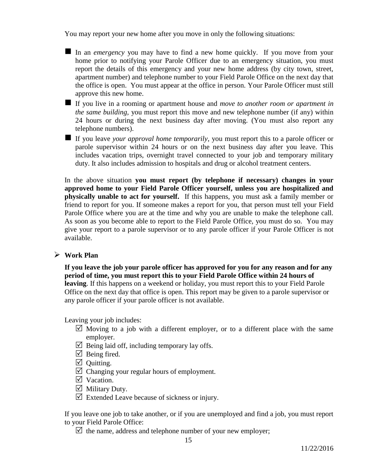You may report your new home after you move in only the following situations:

- In an *emergency* you may have to find a new home quickly. If you move from your home prior to notifying your Parole Officer due to an emergency situation, you must report the details of this emergency and your new home address (by city town, street, apartment number) and telephone number to your Field Parole Office on the next day that the office is open. You must appear at the office in person. Your Parole Officer must still approve this new home.
- If you live in a rooming or apartment house and *move to another room or apartment in the same building,* you must report this move and new telephone number (if any) within 24 hours or during the next business day after moving. (You must also report any telephone numbers).
- If you leave *your approval home temporarily*, you must report this to a parole officer or parole supervisor within 24 hours or on the next business day after you leave. This includes vacation trips, overnight travel connected to your job and temporary military duty. It also includes admission to hospitals and drug or alcohol treatment centers.

In the above situation **you must report (by telephone if necessary) changes in your approved home to your Field Parole Officer yourself, unless you are hospitalized and physically unable to act for yourself.** If this happens, you must ask a family member or friend to report for you. If someone makes a report for you, that person must tell your Field Parole Office where you are at the time and why you are unable to make the telephone call. As soon as you become able to report to the Field Parole Office, you must do so. You may give your report to a parole supervisor or to any parole officer if your Parole Officer is not available.

### **Work Plan**

**If you leave the job your parole officer has approved for you for any reason and for any period of time, you must report this to your Field Parole Office within 24 hours of leaving**. If this happens on a weekend or holiday, you must report this to your Field Parole Office on the next day that office is open. This report may be given to a parole supervisor or any parole officer if your parole officer is not available.

Leaving your job includes:

- $\triangledown$  Moving to a job with a different employer, or to a different place with the same employer.
- $\triangledown$  Being laid off, including temporary lay offs.
- $\triangledown$  Being fired.
- $\boxtimes$  Ouitting.
- $\boxtimes$  Changing your regular hours of employment.
- $\nabla$  Vacation.
- $\triangledown$  Military Duty.
- $\triangledown$  Extended Leave because of sickness or injury.

If you leave one job to take another, or if you are unemployed and find a job, you must report to your Field Parole Office:

 $\boxtimes$  the name, address and telephone number of your new employer;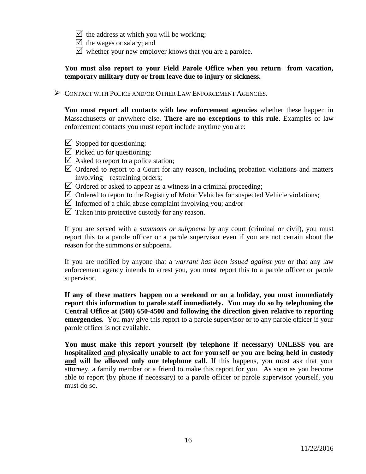- $\triangledown$  the address at which you will be working;
- $\triangledown$  the wages or salary; and
- $\triangledown$  whether your new employer knows that you are a parolee.

### **You must also report to your Field Parole Office when you return from vacation, temporary military duty or from leave due to injury or sickness.**

CONTACT WITH POLICE AND/OR OTHER LAW ENFORCEMENT AGENCIES.

**You must report all contacts with law enforcement agencies** whether these happen in Massachusetts or anywhere else. **There are no exceptions to this rule**. Examples of law enforcement contacts you must report include anytime you are:

- $\boxtimes$  Stopped for questioning;
- $\triangledown$  Picked up for questioning;
- $\triangledown$  Asked to report to a police station;
- $\triangledown$  Ordered to report to a Court for any reason, including probation violations and matters involving restraining orders;
- $\triangledown$  Ordered or asked to appear as a witness in a criminal proceeding;
- $\triangledown$  Ordered to report to the Registry of Motor Vehicles for suspected Vehicle violations;
- $\triangledown$  Informed of a child abuse complaint involving you; and/or
- $\triangledown$  Taken into protective custody for any reason.

If you are served with a *summons or subpoena* by any court (criminal or civil), you must report this to a parole officer or a parole supervisor even if you are not certain about the reason for the summons or subpoena.

If you are notified by anyone that a *warrant has been issued against you* or that any law enforcement agency intends to arrest you, you must report this to a parole officer or parole supervisor.

**If any of these matters happen on a weekend or on a holiday, you must immediately report this information to parole staff immediately. You may do so by telephoning the Central Office at (508) 650-4500 and following the direction given relative to reporting emergencies.** You may give this report to a parole supervisor or to any parole officer if your parole officer is not available.

**You must make this report yourself (by telephone if necessary) UNLESS you are hospitalized and physically unable to act for yourself or you are being held in custody and will be allowed only one telephone call**. If this happens, you must ask that your attorney, a family member or a friend to make this report for you. As soon as you become able to report (by phone if necessary) to a parole officer or parole supervisor yourself, you must do so.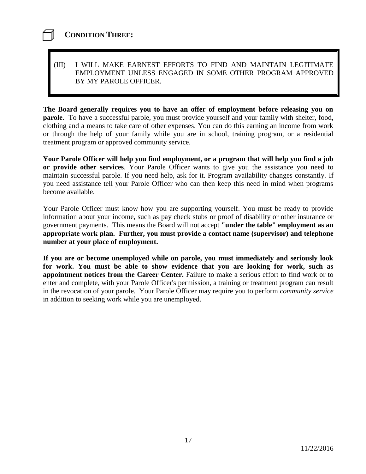# **CONDITION THREE:**

# (III) I WILL MAKE EARNEST EFFORTS TO FIND AND MAINTAIN LEGITIMATE EMPLOYMENT UNLESS ENGAGED IN SOME OTHER PROGRAM APPROVED BY MY PAROLE OFFICER.

**The Board generally requires you to have an offer of employment before releasing you on parole**. To have a successful parole, you must provide yourself and your family with shelter, food, clothing and a means to take care of other expenses. You can do this earning an income from work or through the help of your family while you are in school, training program, or a residential treatment program or approved community service.

**Your Parole Officer will help you find employment, or a program that will help you find a job or provide other services**. Your Parole Officer wants to give you the assistance you need to maintain successful parole. If you need help, ask for it. Program availability changes constantly. If you need assistance tell your Parole Officer who can then keep this need in mind when programs become available.

Your Parole Officer must know how you are supporting yourself. You must be ready to provide information about your income, such as pay check stubs or proof of disability or other insurance or government payments. This means the Board will not accept **"under the table" employment as an appropriate work plan. Further, you must provide a contact name (supervisor) and telephone number at your place of employment.**

**If you are or become unemployed while on parole, you must immediately and seriously look for work. You must be able to show evidence that you are looking for work, such as appointment notices from the Career Center.** Failure to make a serious effort to find work or to enter and complete, with your Parole Officer's permission, a training or treatment program can result in the revocation of your parole. Your Parole Officer may require you to perform *community service* in addition to seeking work while you are unemployed.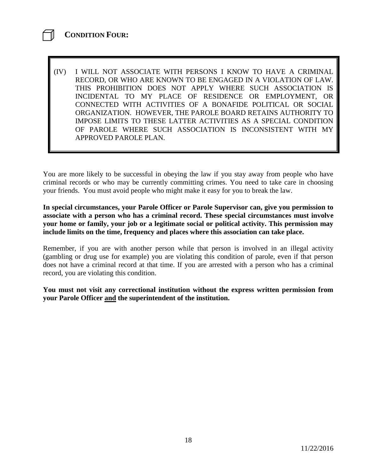(IV) I WILL NOT ASSOCIATE WITH PERSONS I KNOW TO HAVE A CRIMINAL RECORD, OR WHO ARE KNOWN TO BE ENGAGED IN A VIOLATION OF LAW. THIS PROHIBITION DOES NOT APPLY WHERE SUCH ASSOCIATION IS INCIDENTAL TO MY PLACE OF RESIDENCE OR EMPLOYMENT, OR CONNECTED WITH ACTIVITIES OF A BONAFIDE POLITICAL OR SOCIAL ORGANIZATION. HOWEVER, THE PAROLE BOARD RETAINS AUTHORITY TO IMPOSE LIMITS TO THESE LATTER ACTIVITIES AS A SPECIAL CONDITION OF PAROLE WHERE SUCH ASSOCIATION IS INCONSISTENT WITH MY APPROVED PAROLE PLAN.

You are more likely to be successful in obeying the law if you stay away from people who have criminal records or who may be currently committing crimes. You need to take care in choosing your friends. You must avoid people who might make it easy for you to break the law.

**In special circumstances, your Parole Officer or Parole Supervisor can, give you permission to associate with a person who has a criminal record. These special circumstances must involve your home or family, your job or a legitimate social or political activity. This permission may include limits on the time, frequency and places where this association can take place.**

Remember, if you are with another person while that person is involved in an illegal activity (gambling or drug use for example) you are violating this condition of parole, even if that person does not have a criminal record at that time. If you are arrested with a person who has a criminal record, you are violating this condition.

**You must not visit any correctional institution without the express written permission from your Parole Officer and the superintendent of the institution.**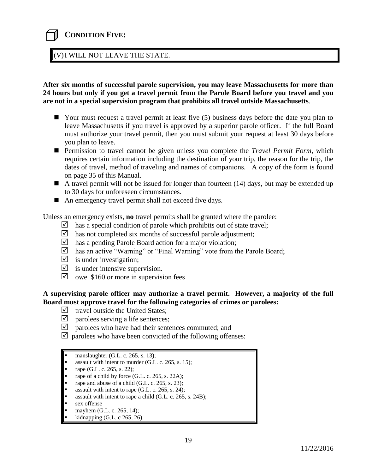# **CONDITION FIVE:**

### (V)I WILL NOT LEAVE THE STATE.

**After six months of successful parole supervision, you may leave Massachusetts for more than 24 hours but only if you get a travel permit from the Parole Board before you travel and you are not in a special supervision program that prohibits all travel outside Massachusetts**.

- Your must request a travel permit at least five (5) business days before the date you plan to leave Massachusetts if you travel is approved by a superior parole officer. If the full Board must authorize your travel permit, then you must submit your request at least 30 days before you plan to leave.
- Permission to travel cannot be given unless you complete the *Travel Permit Form*, which requires certain information including the destination of your trip, the reason for the trip, the dates of travel, method of traveling and names of companions. A copy of the form is found on page 35 of this Manual.
- A travel permit will not be issued for longer than fourteen  $(14)$  days, but may be extended up to 30 days for unforeseen circumstances.
- An emergency travel permit shall not exceed five days.

Unless an emergency exists, **no** travel permits shall be granted where the parolee:

- $\triangleright$  has a special condition of parole which prohibits out of state travel;
- $\triangledown$  has not completed six months of successful parole adjustment;
- $\triangleright$  has a pending Parole Board action for a major violation;
- $\boxtimes$  has an active "Warning" or "Final Warning" vote from the Parole Board;
- $\triangledown$  is under investigation;
- $\triangleright$  is under intensive supervision.
- $\triangledown$  owe \$160 or more in supervision fees

### **A supervising parole officer may authorize a travel permit. However, a majority of the full Board must approve travel for the following categories of crimes or parolees:**

- $\triangledown$  travel outside the United States;
- $\triangledown$  parolees serving a life sentences;
- $\boxtimes$  parolees who have had their sentences commuted; and
- $\triangledown$  parolees who have been convicted of the following offenses:

- assault with intent to murder (G.L. c. 265, s. 15);
- rape (G.L. c. 265, s. 22);
- rape of a child by force (G.L. c. 265, s. 22A);
- rape and abuse of a child (G.L. c. 265, s. 23);
- assault with intent to rape (G.L. c. 265, s. 24);
- assault with intent to rape a child (G.L. c. 265, s. 24B);
- sex offense
- mayhem (G.L. c. 265, 14);
- kidnapping (G.L. c 265, 26).

manslaughter (G.L. c. 265, s. 13);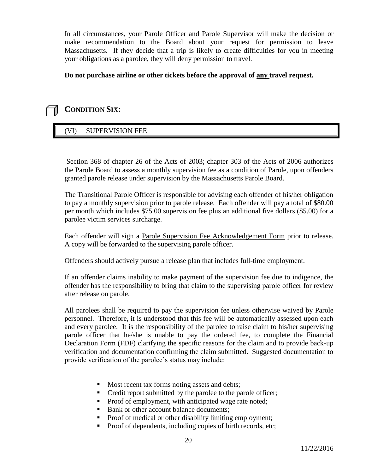In all circumstances, your Parole Officer and Parole Supervisor will make the decision or make recommendation to the Board about your request for permission to leave Massachusetts. If they decide that a trip is likely to create difficulties for you in meeting your obligations as a parolee, they will deny permission to travel.

# **Do not purchase airline or other tickets before the approval of any travel request.**

# **CONDITION SIX:**

# (VI) SUPERVISION FEE

Section 368 of chapter 26 of the Acts of 2003; chapter 303 of the Acts of 2006 authorizes the Parole Board to assess a monthly supervision fee as a condition of Parole, upon offenders granted parole release under supervision by the Massachusetts Parole Board.

The Transitional Parole Officer is responsible for advising each offender of his/her obligation to pay a monthly supervision prior to parole release. Each offender will pay a total of \$80.00 per month which includes \$75.00 supervision fee plus an additional five dollars (\$5.00) for a parolee victim services surcharge.

Each offender will sign a Parole Supervision Fee Acknowledgement Form prior to release. A copy will be forwarded to the supervising parole officer.

Offenders should actively pursue a release plan that includes full-time employment.

If an offender claims inability to make payment of the supervision fee due to indigence, the offender has the responsibility to bring that claim to the supervising parole officer for review after release on parole.

All parolees shall be required to pay the supervision fee unless otherwise waived by Parole personnel. Therefore, it is understood that this fee will be automatically assessed upon each and every parolee. It is the responsibility of the parolee to raise claim to his/her supervising parole officer that he/she is unable to pay the ordered fee, to complete the Financial Declaration Form (FDF) clarifying the specific reasons for the claim and to provide back-up verification and documentation confirming the claim submitted. Suggested documentation to provide verification of the parolee's status may include:

- Most recent tax forms noting assets and debts;
- Credit report submitted by the parolee to the parole officer;
- Proof of employment, with anticipated wage rate noted;
- Bank or other account balance documents;
- Proof of medical or other disability limiting employment;
- Proof of dependents, including copies of birth records, etc;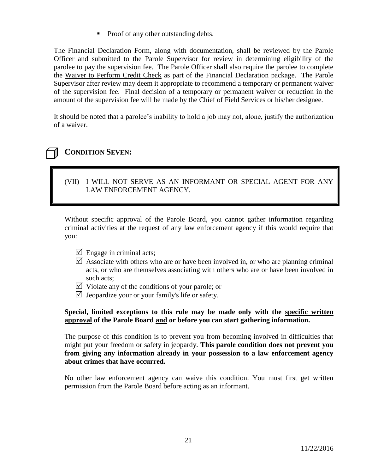• Proof of any other outstanding debts.

The Financial Declaration Form, along with documentation, shall be reviewed by the Parole Officer and submitted to the Parole Supervisor for review in determining eligibility of the parolee to pay the supervision fee. The Parole Officer shall also require the parolee to complete the Waiver to Perform Credit Check as part of the Financial Declaration package. The Parole Supervisor after review may deem it appropriate to recommend a temporary or permanent waiver of the supervision fee. Final decision of a temporary or permanent waiver or reduction in the amount of the supervision fee will be made by the Chief of Field Services or his/her designee.

It should be noted that a parolee's inability to hold a job may not, alone, justify the authorization of a waiver.

# **CONDITION SEVEN:**

# (VII) I WILL NOT SERVE AS AN INFORMANT OR SPECIAL AGENT FOR ANY LAW ENFORCEMENT AGENCY.

Without specific approval of the Parole Board, you cannot gather information regarding criminal activities at the request of any law enforcement agency if this would require that you:

- $\Box$  Engage in criminal acts;
- $\boxtimes$  Associate with others who are or have been involved in, or who are planning criminal acts, or who are themselves associating with others who are or have been involved in such acts;
- $\triangledown$  Violate any of the conditions of your parole; or
- $\triangledown$  Jeopardize your or your family's life or safety.

### **Special, limited exceptions to this rule may be made only with the specific written approval of the Parole Board and or before you can start gathering information.**

The purpose of this condition is to prevent you from becoming involved in difficulties that might put your freedom or safety in jeopardy. **This parole condition does not prevent you from giving any information already in your possession to a law enforcement agency about crimes that have occurred.**

No other law enforcement agency can waive this condition. You must first get written permission from the Parole Board before acting as an informant.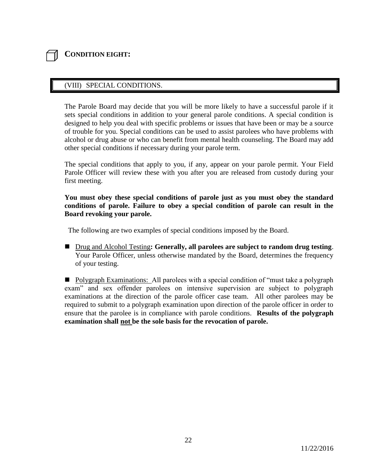# **CONDITION EIGHT:**

# (VIII) SPECIAL CONDITIONS.

The Parole Board may decide that you will be more likely to have a successful parole if it sets special conditions in addition to your general parole conditions. A special condition is designed to help you deal with specific problems or issues that have been or may be a source of trouble for you. Special conditions can be used to assist parolees who have problems with alcohol or drug abuse or who can benefit from mental health counseling. The Board may add other special conditions if necessary during your parole term.

The special conditions that apply to you, if any, appear on your parole permit. Your Field Parole Officer will review these with you after you are released from custody during your first meeting.

### **You must obey these special conditions of parole just as you must obey the standard conditions of parole. Failure to obey a special condition of parole can result in the Board revoking your parole.**

The following are two examples of special conditions imposed by the Board.

■ Drug and Alcohol Testing**: Generally, all parolees are subject to random drug testing**. Your Parole Officer, unless otherwise mandated by the Board, determines the frequency of your testing.

**Polygraph Examinations:** All parolees with a special condition of "must take a polygraph exam" and sex offender parolees on intensive supervision are subject to polygraph examinations at the direction of the parole officer case team. All other parolees may be required to submit to a polygraph examination upon direction of the parole officer in order to ensure that the parolee is in compliance with parole conditions. **Results of the polygraph examination shall not be the sole basis for the revocation of parole.**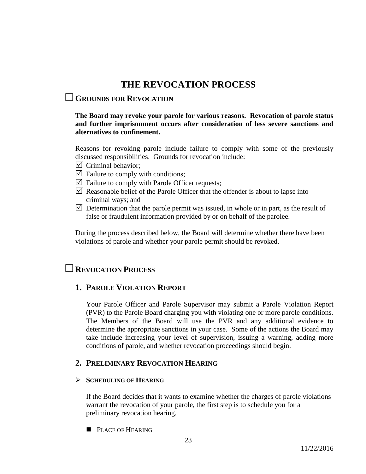# **THE REVOCATION PROCESS**

# **GROUNDS FOR REVOCATION**

### **The Board may revoke your parole for various reasons. Revocation of parole status and further imprisonment occurs after consideration of less severe sanctions and alternatives to confinement.**

Reasons for revoking parole include failure to comply with some of the previously discussed responsibilities. Grounds for revocation include:

- $\triangledown$  Criminal behavior:
- $\triangledown$  Failure to comply with conditions;
- $\triangledown$  Failure to comply with Parole Officer requests;
- $\triangledown$  Reasonable belief of the Parole Officer that the offender is about to lapse into criminal ways; and
- $\triangledown$  Determination that the parole permit was issued, in whole or in part, as the result of false or fraudulent information provided by or on behalf of the parolee.

During the process described below, the Board will determine whether there have been violations of parole and whether your parole permit should be revoked.

# **REVOCATION PROCESS**

# **1. PAROLE VIOLATION REPORT**

Your Parole Officer and Parole Supervisor may submit a Parole Violation Report (PVR) to the Parole Board charging you with violating one or more parole conditions. The Members of the Board will use the PVR and any additional evidence to determine the appropriate sanctions in your case. Some of the actions the Board may take include increasing your level of supervision, issuing a warning, adding more conditions of parole, and whether revocation proceedings should begin.

# **2. PRELIMINARY REVOCATION HEARING**

# **SCHEDULING OF HEARING**

If the Board decides that it wants to examine whether the charges of parole violations warrant the revocation of your parole, the first step is to schedule you for a preliminary revocation hearing.

**PLACE OF HEARING**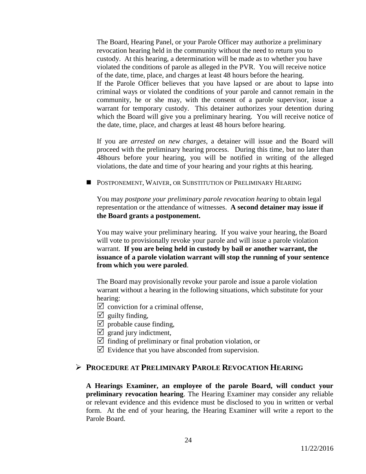The Board, Hearing Panel, or your Parole Officer may authorize a preliminary revocation hearing held in the community without the need to return you to custody. At this hearing, a determination will be made as to whether you have violated the conditions of parole as alleged in the PVR. You will receive notice of the date, time, place, and charges at least 48 hours before the hearing. If the Parole Officer believes that you have lapsed or are about to lapse into criminal ways or violated the conditions of your parole and cannot remain in the community, he or she may, with the consent of a parole supervisor, issue a warrant for temporary custody. This detainer authorizes your detention during which the Board will give you a preliminary hearing. You will receive notice of the date, time, place, and charges at least 48 hours before hearing.

If you are *arrested on new charges*, a detainer will issue and the Board will proceed with the preliminary hearing process. During this time, but no later than 48hours before your hearing, you will be notified in writing of the alleged violations, the date and time of your hearing and your rights at this hearing.

**POSTPONEMENT, WAIVER, OR SUBSTITUTION OF PRELIMINARY HEARING** 

You may *postpone your preliminary parole revocation hearing* to obtain legal representation or the attendance of witnesses. **A second detainer may issue if the Board grants a postponement.**

You may waive your preliminary hearing. If you waive your hearing, the Board will vote to provisionally revoke your parole and will issue a parole violation warrant. **If you are being held in custody by bail or another warrant, the issuance of a parole violation warrant will stop the running of your sentence from which you were paroled**.

The Board may provisionally revoke your parole and issue a parole violation warrant without a hearing in the following situations, which substitute for your hearing:

- $\triangledown$  conviction for a criminal offense,
- $\triangledown$  guilty finding,
- $\triangledown$  probable cause finding,
- $\boxtimes$  grand jury indictment,
- $\triangledown$  finding of preliminary or final probation violation, or
- $\triangledown$  Evidence that you have absconded from supervision.

# **PROCEDURE AT PRELIMINARY PAROLE REVOCATION HEARING**

**A Hearings Examiner, an employee of the parole Board, will conduct your preliminary revocation hearing**. The Hearing Examiner may consider any reliable or relevant evidence and this evidence must be disclosed to you in written or verbal form. At the end of your hearing, the Hearing Examiner will write a report to the Parole Board.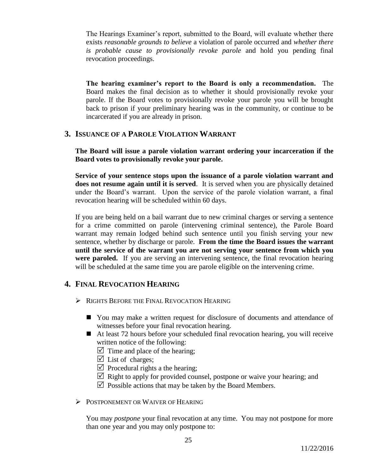The Hearings Examiner's report, submitted to the Board, will evaluate whether there exists *reasonable grounds to believe* a violation of parole occurred and *whether there is probable cause to provisionally revoke parole* and hold you pending final revocation proceedings.

**The hearing examiner's report to the Board is only a recommendation.** The Board makes the final decision as to whether it should provisionally revoke your parole. If the Board votes to provisionally revoke your parole you will be brought back to prison if your preliminary hearing was in the community, or continue to be incarcerated if you are already in prison.

# **3. ISSUANCE OF A PAROLE VIOLATION WARRANT**

**The Board will issue a parole violation warrant ordering your incarceration if the Board votes to provisionally revoke your parole.**

**Service of your sentence stops upon the issuance of a parole violation warrant and does not resume again until it is served**. It is served when you are physically detained under the Board's warrant. Upon the service of the parole violation warrant, a final revocation hearing will be scheduled within 60 days.

If you are being held on a bail warrant due to new criminal charges or serving a sentence for a crime committed on parole (intervening criminal sentence), the Parole Board warrant may remain lodged behind such sentence until you finish serving your new sentence, whether by discharge or parole. **From the time the Board issues the warrant until the service of the warrant you are not serving your sentence from which you were paroled.** If you are serving an intervening sentence, the final revocation hearing will be scheduled at the same time you are parole eligible on the intervening crime.

# **4. FINAL REVOCATION HEARING**

- **EXECUTE:** RIGHTS BEFORE THE FINAL REVOCATION HEARING
	- You may make a written request for disclosure of documents and attendance of witnesses before your final revocation hearing.
	- At least 72 hours before your scheduled final revocation hearing, you will receive written notice of the following:
		- $\triangledown$  Time and place of the hearing;
		- $\triangledown$  List of charges;
		- $\triangledown$  Procedural rights a the hearing;
		- $\boxtimes$  Right to apply for provided counsel, postpone or waive your hearing; and
		- $\triangledown$  Possible actions that may be taken by the Board Members.
- POSTPONEMENT OR WAIVER OF HEARING

You may *postpone* your final revocation at any time. You may not postpone for more than one year and you may only postpone to: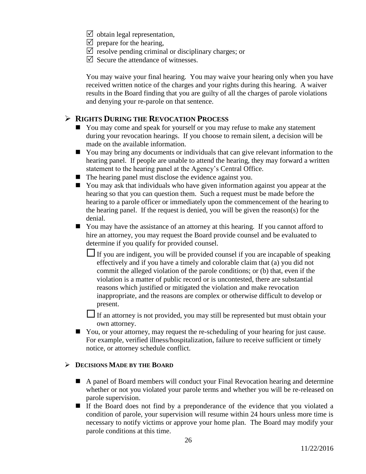- $\triangledown$  obtain legal representation,
- $\triangledown$  prepare for the hearing,
- $\triangledown$  resolve pending criminal or disciplinary charges; or
- $\triangledown$  Secure the attendance of witnesses.

You may waive your final hearing. You may waive your hearing only when you have received written notice of the charges and your rights during this hearing. A waiver results in the Board finding that you are guilty of all the charges of parole violations and denying your re-parole on that sentence.

# **RIGHTS DURING THE REVOCATION PROCESS**

- You may come and speak for yourself or you may refuse to make any statement during your revocation hearings. If you choose to remain silent, a decision will be made on the available information.
- You may bring any documents or individuals that can give relevant information to the hearing panel. If people are unable to attend the hearing, they may forward a written statement to the hearing panel at the Agency's Central Office.
- The hearing panel must disclose the evidence against you.
- You may ask that individuals who have given information against you appear at the hearing so that you can question them. Such a request must be made before the hearing to a parole officer or immediately upon the commencement of the hearing to the hearing panel. If the request is denied, you will be given the reason(s) for the denial.
- You may have the assistance of an attorney at this hearing. If you cannot afford to hire an attorney, you may request the Board provide counsel and be evaluated to determine if you qualify for provided counsel.
	- If you are indigent, you will be provided counsel if you are incapable of speaking effectively and if you have a timely and colorable claim that (a) you did not commit the alleged violation of the parole conditions; or (b) that, even if the violation is a matter of public record or is uncontested, there are substantial reasons which justified or mitigated the violation and make revocation inappropriate, and the reasons are complex or otherwise difficult to develop or present.

If an attorney is not provided, you may still be represented but must obtain your own attorney.

■ You, or your attorney, may request the re-scheduling of your hearing for just cause. For example, verified illness/hospitalization, failure to receive sufficient or timely notice, or attorney schedule conflict.

### **DECISIONS MADE BY THE BOARD**

- A panel of Board members will conduct your Final Revocation hearing and determine whether or not you violated your parole terms and whether you will be re-released on parole supervision.
- If the Board does not find by a preponderance of the evidence that you violated a condition of parole, your supervision will resume within 24 hours unless more time is necessary to notify victims or approve your home plan. The Board may modify your parole conditions at this time.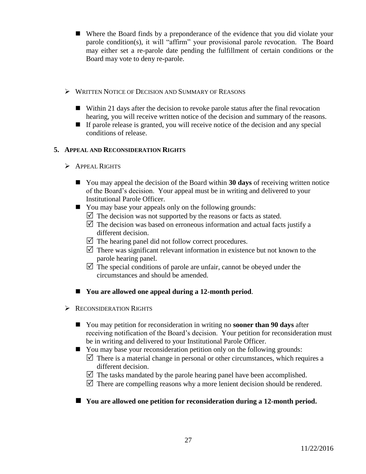- Where the Board finds by a preponderance of the evidence that you did violate your parole condition(s), it will "affirm" your provisional parole revocation. The Board may either set a re-parole date pending the fulfillment of certain conditions or the Board may vote to deny re-parole.
- WRITTEN NOTICE OF DECISION AND SUMMARY OF REASONS
	- $\blacksquare$  Within 21 days after the decision to revoke parole status after the final revocation hearing, you will receive written notice of the decision and summary of the reasons.
	- $\blacksquare$  If parole release is granted, you will receive notice of the decision and any special conditions of release.

# **5. APPEAL AND RECONSIDERATION RIGHTS**

- APPEAL RIGHTS
	- You may appeal the decision of the Board within **30 days** of receiving written notice of the Board's decision. Your appeal must be in writing and delivered to your Institutional Parole Officer.
	- You may base your appeals only on the following grounds:
		- $\triangledown$  The decision was not supported by the reasons or facts as stated.
		- $\triangledown$  The decision was based on erroneous information and actual facts justify a different decision.
		- $\triangledown$  The hearing panel did not follow correct procedures.
		- $\triangledown$  There was significant relevant information in existence but not known to the parole hearing panel.
		- $\triangledown$  The special conditions of parole are unfair, cannot be obeyed under the circumstances and should be amended.
	- You are allowed one appeal during a 12-month period.
- **EXECONSIDERATION RIGHTS** 
	- You may petition for reconsideration in writing no **sooner than 90 days** after receiving notification of the Board's decision. Your petition for reconsideration must be in writing and delivered to your Institutional Parole Officer.
	- You may base your reconsideration petition only on the following grounds:  $\triangledown$  There is a material change in personal or other circumstances, which requires a different decision.
		- $\triangledown$  The tasks mandated by the parole hearing panel have been accomplished.
		- $\triangledown$  There are compelling reasons why a more lenient decision should be rendered.

# **You are allowed one petition for reconsideration during a 12-month period.**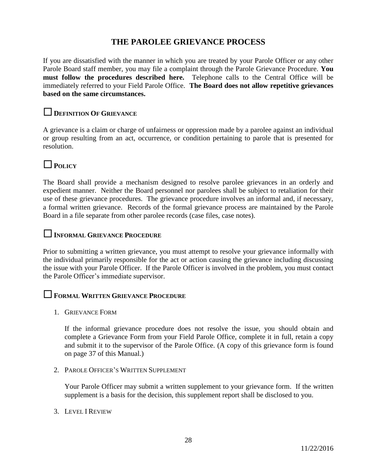# **THE PAROLEE GRIEVANCE PROCESS**

If you are dissatisfied with the manner in which you are treated by your Parole Officer or any other Parole Board staff member, you may file a complaint through the Parole Grievance Procedure. **You must follow the procedures described here.** Telephone calls to the Central Office will be immediately referred to your Field Parole Office. **The Board does not allow repetitive grievances based on the same circumstances.**

# **<sup>D</sup>EFINITION <sup>O</sup>F GRIEVANCE**

A grievance is a claim or charge of unfairness or oppression made by a parolee against an individual or group resulting from an act, occurrence, or condition pertaining to parole that is presented for resolution.

# **<sup>P</sup>OLICY**

The Board shall provide a mechanism designed to resolve parolee grievances in an orderly and expedient manner. Neither the Board personnel nor parolees shall be subject to retaliation for their use of these grievance procedures. The grievance procedure involves an informal and, if necessary, a formal written grievance. Records of the formal grievance process are maintained by the Parole Board in a file separate from other parolee records (case files, case notes).

# **<sup>I</sup>NFORMAL GRIEVANCE PROCEDURE**

Prior to submitting a written grievance, you must attempt to resolve your grievance informally with the individual primarily responsible for the act or action causing the grievance including discussing the issue with your Parole Officer. If the Parole Officer is involved in the problem, you must contact the Parole Officer's immediate supervisor.

# **<sup>F</sup>ORMAL WRITTEN GRIEVANCE PROCEDURE**

1. GRIEVANCE FORM

If the informal grievance procedure does not resolve the issue, you should obtain and complete a Grievance Form from your Field Parole Office, complete it in full, retain a copy and submit it to the supervisor of the Parole Office. (A copy of this grievance form is found on page 37 of this Manual.)

2. PAROLE OFFICER'S WRITTEN SUPPLEMENT

Your Parole Officer may submit a written supplement to your grievance form. If the written supplement is a basis for the decision, this supplement report shall be disclosed to you.

### 3. LEVEL I REVIEW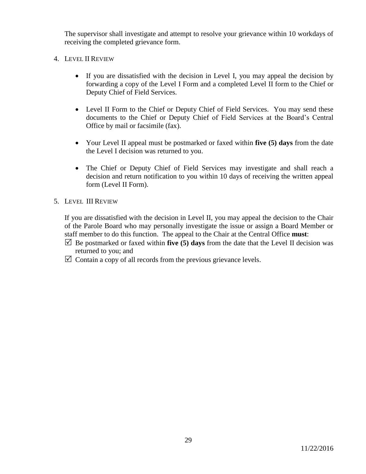The supervisor shall investigate and attempt to resolve your grievance within 10 workdays of receiving the completed grievance form.

- 4. LEVEL II REVIEW
	- If you are dissatisfied with the decision in Level I, you may appeal the decision by forwarding a copy of the Level I Form and a completed Level II form to the Chief or Deputy Chief of Field Services.
	- Level II Form to the Chief or Deputy Chief of Field Services. You may send these documents to the Chief or Deputy Chief of Field Services at the Board's Central Office by mail or facsimile (fax).
	- Your Level II appeal must be postmarked or faxed within **five (5) days** from the date the Level I decision was returned to you.
	- The Chief or Deputy Chief of Field Services may investigate and shall reach a decision and return notification to you within 10 days of receiving the written appeal form (Level II Form).
- 5. LEVEL III REVIEW

If you are dissatisfied with the decision in Level II, you may appeal the decision to the Chair of the Parole Board who may personally investigate the issue or assign a Board Member or staff member to do this function. The appeal to the Chair at the Central Office **must**:

- $\Box$  Be postmarked or faxed within **five (5) days** from the date that the Level II decision was returned to you; and
- $\triangledown$  Contain a copy of all records from the previous grievance levels.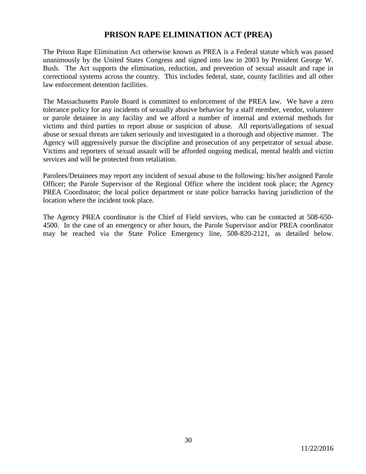# **PRISON RAPE ELIMINATION ACT (PREA)**

The Prison Rape Elimination Act otherwise known as PREA is a Federal statute which was passed unanimously by the United States Congress and signed into law in 2003 by President George W. Bush. The Act supports the elimination, reduction, and prevention of sexual assault and rape in correctional systems across the country. This includes federal, state, county facilities and all other law enforcement detention facilities.

The Massachusetts Parole Board is committed to enforcement of the PREA law. We have a zero tolerance policy for any incidents of sexually abusive behavior by a staff member, vendor, volunteer or parole detainee in any facility and we afford a number of internal and external methods for victims and third parties to report abuse or suspicion of abuse. All reports/allegations of sexual abuse or sexual threats are taken seriously and investigated in a thorough and objective manner. The Agency will aggressively pursue the discipline and prosecution of any perpetrator of sexual abuse. Victims and reporters of sexual assault will be afforded ongoing medical, mental health and victim services and will be protected from retaliation.

Parolees/Detainees may report any incident of sexual abuse to the following: his/her assigned Parole Officer; the Parole Supervisor of the Regional Office where the incident took place; the Agency PREA Coordinator; the local police department or state police barracks having jurisdiction of the location where the incident took place.

The Agency PREA coordinator is the Chief of Field services, who can be contacted at 508-650- 4500. In the case of an emergency or after hours, the Parole Supervisor and/or PREA coordinator may be reached via the State Police Emergency line, 508-820-2121, as detailed below.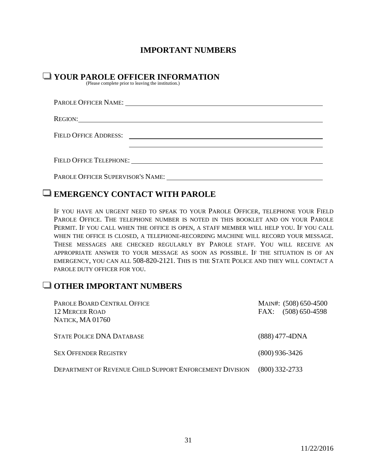# **IMPORTANT NUMBERS**

# YOUR PAROLE OFFICER INFORMATION
(Please complete prior to leaving the institution.)

| REGION: |
|---------|
|         |
|         |
|         |

# **EMERGENCY CONTACT WITH PAROLE**

IF YOU HAVE AN URGENT NEED TO SPEAK TO YOUR PAROLE OFFICER, TELEPHONE YOUR FIELD PAROLE OFFICE. THE TELEPHONE NUMBER IS NOTED IN THIS BOOKLET AND ON YOUR PAROLE PERMIT. IF YOU CALL WHEN THE OFFICE IS OPEN, A STAFF MEMBER WILL HELP YOU. IF YOU CALL WHEN THE OFFICE IS CLOSED, A TELEPHONE-RECORDING MACHINE WILL RECORD YOUR MESSAGE. THESE MESSAGES ARE CHECKED REGULARLY BY PAROLE STAFF. YOU WILL RECEIVE AN APPROPRIATE ANSWER TO YOUR MESSAGE AS SOON AS POSSIBLE. IF THE SITUATION IS OF AN EMERGENCY, YOU CAN ALL 508-820-2121. THIS IS THE STATE POLICE AND THEY WILL CONTACT A PAROLE DUTY OFFICER FOR YOU.

# OTHER IMPORTANT NUMBERS

| PAROLE BOARD CENTRAL OFFICE<br><b>12 MERCER ROAD</b><br><b>NATICK, MA01760</b> | MAIN#: (508) 650-4500<br>FAX: (508) 650-4598 |
|--------------------------------------------------------------------------------|----------------------------------------------|
| <b>STATE POLICE DNA DATABASE</b>                                               | $(888)$ 477-4DNA                             |
| <b>SEX OFFENDER REGISTRY</b>                                                   | $(800)$ 936-3426                             |
| DEPARTMENT OF REVENUE CHILD SUPPORT ENFORCEMENT DIVISION                       | $(800)$ 332-2733                             |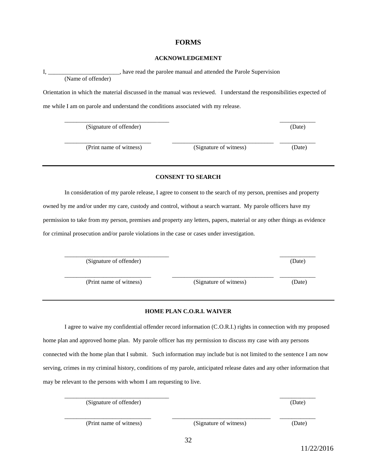### **FORMS**

#### **ACKNOWLEDGEMENT**

|                    | , have read the parolee manual and attended the Parole Supervision |
|--------------------|--------------------------------------------------------------------|
| (Name of offender) |                                                                    |

Orientation in which the material discussed in the manual was reviewed. I understand the responsibilities expected of me while I am on parole and understand the conditions associated with my release.

\_\_\_\_\_\_\_\_\_\_\_\_\_\_\_\_\_\_\_\_\_\_\_\_\_\_\_\_\_\_\_\_\_\_\_ \_\_\_\_\_\_\_\_\_\_\_\_

(Signature of offender) (Date)

(Print name of witness) (Signature of witness) (Date)

\_\_\_\_\_\_\_\_\_\_\_\_\_\_\_\_\_\_\_\_\_\_\_\_\_\_\_\_\_ \_\_\_\_\_\_\_\_\_\_\_\_\_\_\_\_\_\_\_\_\_\_\_\_\_\_\_\_\_\_\_\_\_\_ \_\_\_\_\_\_\_\_\_\_\_\_

### **CONSENT TO SEARCH**

In consideration of my parole release, I agree to consent to the search of my person, premises and property owned by me and/or under my care, custody and control, without a search warrant. My parole officers have my permission to take from my person, premises and property any letters, papers, material or any other things as evidence for criminal prosecution and/or parole violations in the case or cases under investigation.

\_\_\_\_\_\_\_\_\_\_\_\_\_\_\_\_\_\_\_\_\_\_\_\_\_\_\_\_\_\_\_\_\_\_\_ \_\_\_\_\_\_\_\_\_\_\_\_ (Signature of offender) (Date)

(Print name of witness) (Signature of witness) (Date)

### **HOME PLAN C.O.R.I. WAIVER**

\_\_\_\_\_\_\_\_\_\_\_\_\_\_\_\_\_\_\_\_\_\_\_\_\_\_\_\_\_ \_\_\_\_\_\_\_\_\_\_\_\_\_\_\_\_\_\_\_\_\_\_\_\_\_\_\_\_\_\_\_\_\_\_ \_\_\_\_\_\_\_\_\_\_\_\_

I agree to waive my confidential offender record information (C.O.R.I.) rights in connection with my proposed home plan and approved home plan. My parole officer has my permission to discuss my case with any persons connected with the home plan that I submit. Such information may include but is not limited to the sentence I am now serving, crimes in my criminal history, conditions of my parole, anticipated release dates and any other information that may be relevant to the persons with whom I am requesting to live.

\_\_\_\_\_\_\_\_\_\_\_\_\_\_\_\_\_\_\_\_\_\_\_\_\_\_\_\_\_\_\_\_\_\_\_ \_\_\_\_\_\_\_\_\_\_\_\_ (Signature of offender) (Date)

(Print name of witness) (Signature of witness) (Date)

32

\_\_\_\_\_\_\_\_\_\_\_\_\_\_\_\_\_\_\_\_\_\_\_\_\_\_\_\_\_ \_\_\_\_\_\_\_\_\_\_\_\_\_\_\_\_\_\_\_\_\_\_\_\_\_\_\_\_\_\_\_\_\_ \_\_\_\_\_\_\_\_\_\_\_\_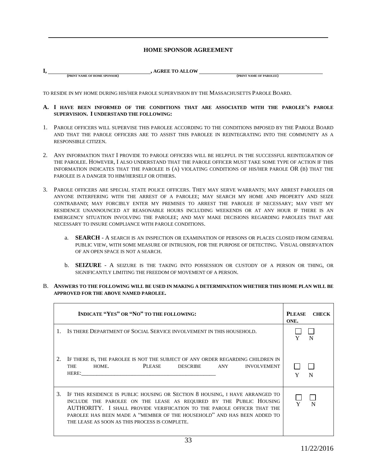### **HOME SPONSOR AGREEMENT**

| л. |                              | <b>AGREE TO ALLOW</b> |                         |
|----|------------------------------|-----------------------|-------------------------|
|    | (PRINT NAME OF HOME SPONSOR) |                       | (PRINT NAME OF PAROLEE) |

TO RESIDE IN MY HOME DURING HIS/HER PAROLE SUPERVISION BY THE MASSACHUSETTS PAROLE BOARD.

- **A. I HAVE BEEN INFORMED OF THE CONDITIONS THAT ARE ASSOCIATED WITH THE PAROLEE'S PAROLE SUPERVISION. I UNDERSTAND THE FOLLOWING:**
- 1. PAROLE OFFICERS WILL SUPERVISE THIS PAROLEE ACCORDING TO THE CONDITIONS IMPOSED BY THE PAROLE BOARD AND THAT THE PAROLE OFFICERS ARE TO ASSIST THIS PAROLEE IN REINTEGRATING INTO THE COMMUNITY AS A RESPONSIBLE CITIZEN.
- 2. ANY INFORMATION THAT I PROVIDE TO PAROLE OFFICERS WILL BE HELPFUL IN THE SUCCESSFUL REINTEGRATION OF THE PAROLEE. HOWEVER, I ALSO UNDERSTAND THAT THE PAROLE OFFICER MUST TAKE SOME TYPE OF ACTION IF THIS INFORMATION INDICATES THAT THE PAROLEE IS (A) VIOLATING CONDITIONS OF HIS/HER PAROLE OR (B) THAT THE PAROLEE IS A DANGER TO HIM/HERSELF OR OTHERS.
- 3. PAROLE OFFICERS ARE SPECIAL STATE POLICE OFFICERS. THEY MAY SERVE WARRANTS; MAY ARREST PAROLEES OR ANYONE INTERFERING WITH THE ARREST OF A PAROLEE; MAY SEARCH MY HOME AND PROPERTY AND SEIZE CONTRABAND; MAY FORCIBLY ENTER MY PREMISES TO ARREST THE PAROLEE IF NECESSARY; MAY VISIT MY RESIDENCE UNANNOUNCED AT REASONABLE HOURS INCLUDING WEEKENDS OR AT ANY HOUR IF THERE IS AN EMERGENCY SITUATION INVOLVING THE PAROLEE; AND MAY MAKE DECISIONS REGARDING PAROLEES THAT ARE NECESSARY TO INSURE COMPLIANCE WITH PAROLE CONDITIONS.
	- a. **SEARCH** A SEARCH IS AN INSPECTION OR EXAMINATION OF PERSONS OR PLACES CLOSED FROM GENERAL PUBLIC VIEW, WITH SOME MEASURE OF INTRUSION, FOR THE PURPOSE OF DETECTING. VISUAL OBSERVATION OF AN OPEN SPACE IS NOT A SEARCH.
	- b. **SEIZURE** A SEIZURE IS THE TAKING INTO POSSESSION OR CUSTODY OF A PERSON OR THING, OR SIGNIFICANTLY LIMITING THE FREEDOM OF MOVEMENT OF A PERSON.
- B. **ANSWERS TO THE FOLLOWING WILL BE USED IN MAKING A DETERMINATION WHETHER THIS HOME PLAN WILL BE APPROVED FOR THE ABOVE NAMED PAROLEE.**

|    | <b>INDICATE "YES" OR "NO" TO THE FOLLOWING:</b>                                                                                                                                                                                                                                                                                                            | PLEASE<br><b>CHECK</b><br>ONE. |
|----|------------------------------------------------------------------------------------------------------------------------------------------------------------------------------------------------------------------------------------------------------------------------------------------------------------------------------------------------------------|--------------------------------|
|    | IS THERE DEPARTMENT OF SOCIAL SERVICE INVOLVEMENT IN THIS HOUSEHOLD.                                                                                                                                                                                                                                                                                       | N                              |
| 2. | IF THERE IS, THE PAROLEE IS NOT THE SUBJECT OF ANY ORDER REGARDING CHILDREN IN<br>PLEASE<br><b>THE</b><br>HOME.<br>DESCRIBE<br>ANY<br><b>INVOLVEMENT</b>                                                                                                                                                                                                   | N                              |
| 3. | IF THIS RESIDENCE IS PUBLIC HOUSING OR SECTION 8 HOUSING, I HAVE ARRANGED TO<br>INCLUDE THE PAROLEE ON THE LEASE AS REQUIRED BY THE PUBLIC HOUSING<br>AUTHORITY. I SHALL PROVIDE VERIFIICATION TO THE PAROLE OFFICER THAT THE<br>PAROLEE HAS BEEN MADE A "MEMBER OF THE HOUSEHOLD" AND HAS BEEN ADDED TO<br>THE LEASE AS SOON AS THIS PROCESS IS COMPLETE. |                                |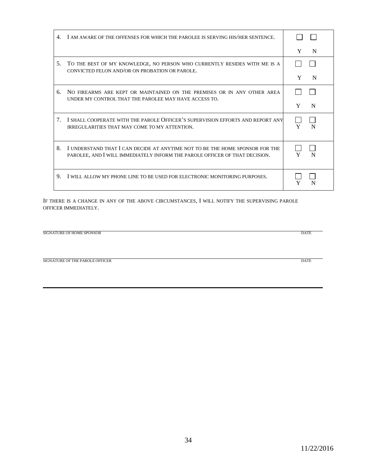|                                  | I AM AWARE OF THE OFFENSES FOR WHICH THE PAROLEE IS SERVING HIS/HER SENTENCE.                                                                               |        |
|----------------------------------|-------------------------------------------------------------------------------------------------------------------------------------------------------------|--------|
|                                  |                                                                                                                                                             | Y<br>N |
| 5.                               | TO THE BEST OF MY KNOWLEDGE, NO PERSON WHO CURRENTLY RESIDES WITH ME IS A<br>CONVICTED FELON AND/OR ON PROBATION OR PAROLE.                                 |        |
|                                  |                                                                                                                                                             | Y<br>N |
| б.                               | NO FIREARMS ARE KEPT OR MAINTAINED ON THE PREMISES OR IN ANY OTHER AREA<br>UNDER MY CONTROL THAT THE PAROLEE MAY HAVE ACCESS TO.                            |        |
|                                  |                                                                                                                                                             | Y<br>N |
| $7_{\scriptscriptstyle{\ddots}}$ | I SHALL COOPERATE WITH THE PAROLE OFFICER'S SUPERVISION EFFORTS AND REPORT ANY<br><b>IRREGULARITIES THAT MAY COME TO MY ATTENTION.</b>                      | N      |
| 8.                               | I UNDERSTAND THAT I CAN DECIDE AT ANYTIME NOT TO BE THE HOME SPONSOR FOR THE<br>PAROLEE, AND I WILL IMMEDIATELY INFORM THE PAROLE OFFICER OF THAT DECISION. |        |
| 9.                               | I WILL ALLOW MY PHONE LINE TO BE USED FOR ELECTRONIC MONITORING PURPOSES.                                                                                   |        |

IF THERE IS A CHANGE IN ANY OF THE ABOVE CIRCUMSTANCES, I WILL NOTIFY THE SUPERVISING PAROLE OFFICER IMMEDIATELY.

| SIGNATURE OF HOME SPONSOR | <b>DATE</b> |
|---------------------------|-------------|
|                           |             |
|                           |             |
|                           |             |

SIGNATURE OF THE PAROLE OFFICER DATE

Г

 $\rightarrow$ 

 $\overline{\phantom{0}}$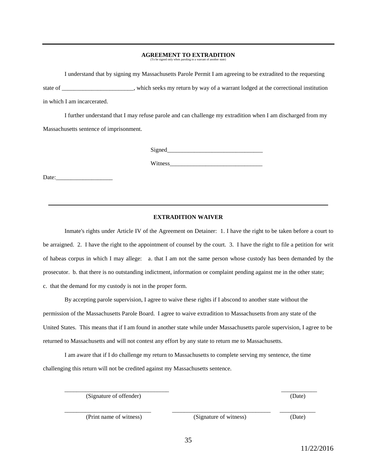# **AGREEMENT TO EXTRADITION** (To be signed only when paroling to a warrant of another state)

I understand that by signing my Massachusetts Parole Permit I am agreeing to be extradited to the requesting state of \_\_\_\_\_\_\_\_\_\_\_\_\_\_\_\_\_\_\_\_\_\_\_\_, which seeks my return by way of a warrant lodged at the correctional institution in which I am incarcerated.

I further understand that I may refuse parole and can challenge my extradition when I am discharged from my Massachusetts sentence of imprisonment.

Signed

Witness\_\_\_\_\_\_\_\_\_\_\_\_\_\_\_\_\_\_\_\_\_\_\_\_\_\_\_\_\_\_\_

Date:

#### **EXTRADITION WAIVER**

Inmate's rights under Article IV of the Agreement on Detainer: 1. I have the right to be taken before a court to be arraigned. 2. I have the right to the appointment of counsel by the court. 3. I have the right to file a petition for writ of habeas corpus in which I may allege: a. that I am not the same person whose custody has been demanded by the prosecutor. b. that there is no outstanding indictment, information or complaint pending against me in the other state; c. that the demand for my custody is not in the proper form.

 By accepting parole supervision, I agree to waive these rights if I abscond to another state without the permission of the Massachusetts Parole Board. I agree to waive extradition to Massachusetts from any state of the United States. This means that if I am found in another state while under Massachusetts parole supervision, I agree to be returned to Massachusetts and will not contest any effort by any state to return me to Massachusetts.

I am aware that if I do challenge my return to Massachusetts to complete serving my sentence, the time challenging this return will not be credited against my Massachusetts sentence.

(Signature of offender) (Date) (Date)

\_\_\_\_\_\_\_\_\_\_\_\_\_\_\_\_\_\_\_\_\_\_\_\_\_\_\_\_\_ \_\_\_\_\_\_\_\_\_\_\_\_\_\_\_\_\_\_\_\_\_\_\_\_\_\_\_\_\_\_\_\_\_ \_\_\_\_\_\_\_\_\_\_\_\_ (Print name of witness) (Signature of witness) (Date)

\_\_\_\_\_\_\_\_\_\_\_\_\_\_\_\_\_\_\_\_\_\_\_\_\_\_\_\_\_\_\_\_\_\_\_ \_\_\_\_\_\_\_\_\_\_\_\_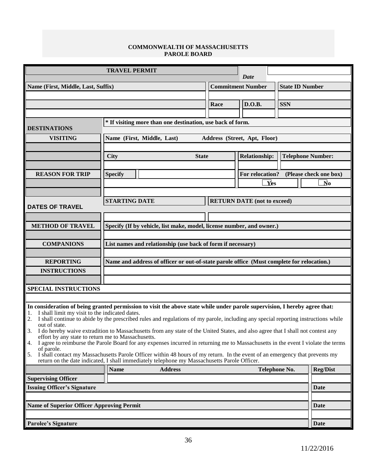### **COMMONWEALTH OF MASSACHUSETTS PAROLE BOARD**

|                                                                                                                                                                                                                                   | <b>TRAVEL PERMIT</b>                                                                      |              |                          | Date                               |                        |                                   |
|-----------------------------------------------------------------------------------------------------------------------------------------------------------------------------------------------------------------------------------|-------------------------------------------------------------------------------------------|--------------|--------------------------|------------------------------------|------------------------|-----------------------------------|
|                                                                                                                                                                                                                                   |                                                                                           |              |                          |                                    |                        |                                   |
| Name (First, Middle, Last, Suffix)                                                                                                                                                                                                |                                                                                           |              | <b>Commitment Number</b> |                                    | <b>State ID Number</b> |                                   |
|                                                                                                                                                                                                                                   |                                                                                           |              | Race                     | D.O.B.                             | <b>SSN</b>             |                                   |
|                                                                                                                                                                                                                                   |                                                                                           |              |                          |                                    |                        |                                   |
|                                                                                                                                                                                                                                   | * If visiting more than one destination, use back of form.                                |              |                          |                                    |                        |                                   |
| <b>DESTINATIONS</b>                                                                                                                                                                                                               |                                                                                           |              |                          |                                    |                        |                                   |
| <b>VISITING</b>                                                                                                                                                                                                                   | Name (First, Middle, Last)                                                                |              |                          | Address (Street, Apt, Floor)       |                        |                                   |
|                                                                                                                                                                                                                                   |                                                                                           |              |                          |                                    |                        |                                   |
|                                                                                                                                                                                                                                   | <b>City</b>                                                                               | <b>State</b> |                          | <b>Relationship:</b>               |                        | <b>Telephone Number:</b>          |
|                                                                                                                                                                                                                                   |                                                                                           |              |                          |                                    |                        |                                   |
| <b>REASON FOR TRIP</b>                                                                                                                                                                                                            | <b>Specify</b>                                                                            |              |                          | For relocation?                    |                        | (Please check one box)            |
|                                                                                                                                                                                                                                   |                                                                                           |              |                          | $\overline{\mathbf{Y}}$ es         |                        | $\overline{\mathbf{N}}\mathbf{o}$ |
|                                                                                                                                                                                                                                   |                                                                                           |              |                          |                                    |                        |                                   |
|                                                                                                                                                                                                                                   | <b>STARTING DATE</b>                                                                      |              |                          | <b>RETURN DATE</b> (not to exceed) |                        |                                   |
| <b>DATES OF TRAVEL</b>                                                                                                                                                                                                            |                                                                                           |              |                          |                                    |                        |                                   |
|                                                                                                                                                                                                                                   |                                                                                           |              |                          |                                    |                        |                                   |
| <b>METHOD OF TRAVEL</b>                                                                                                                                                                                                           | Specify (If by vehicle, list make, model, license number, and owner.)                     |              |                          |                                    |                        |                                   |
|                                                                                                                                                                                                                                   |                                                                                           |              |                          |                                    |                        |                                   |
| <b>COMPANIONS</b>                                                                                                                                                                                                                 | List names and relationship (use back of form if necessary)                               |              |                          |                                    |                        |                                   |
|                                                                                                                                                                                                                                   |                                                                                           |              |                          |                                    |                        |                                   |
| <b>REPORTING</b>                                                                                                                                                                                                                  | Name and address of officer or out-of-state parole office (Must complete for relocation.) |              |                          |                                    |                        |                                   |
| <b>INSTRUCTIONS</b>                                                                                                                                                                                                               |                                                                                           |              |                          |                                    |                        |                                   |
|                                                                                                                                                                                                                                   |                                                                                           |              |                          |                                    |                        |                                   |
| <b>SPECIAL INSTRUCTIONS</b>                                                                                                                                                                                                       |                                                                                           |              |                          |                                    |                        |                                   |
|                                                                                                                                                                                                                                   |                                                                                           |              |                          |                                    |                        |                                   |
| In consideration of being granted permission to visit the above state while under parole supervision, I hereby agree that:<br>I shall limit my visit to the indicated dates.<br>1.                                                |                                                                                           |              |                          |                                    |                        |                                   |
| I shall continue to abide by the prescribed rules and regulations of my parole, including any special reporting instructions while                                                                                                |                                                                                           |              |                          |                                    |                        |                                   |
| out of state.                                                                                                                                                                                                                     |                                                                                           |              |                          |                                    |                        |                                   |
| 3. I do hereby waive extradition to Massachusetts from any state of the United States, and also agree that I shall not contest any<br>effort by any state to return me to Massachusetts.                                          |                                                                                           |              |                          |                                    |                        |                                   |
| I agree to reimburse the Parole Board for any expenses incurred in returning me to Massachusetts in the event I violate the terms<br>4.<br>of parole.                                                                             |                                                                                           |              |                          |                                    |                        |                                   |
| I shall contact my Massachusetts Parole Officer within 48 hours of my return. In the event of an emergency that prevents my<br>5.<br>return on the date indicated, I shall immediately telephone my Massachusetts Parole Officer. |                                                                                           |              |                          |                                    |                        |                                   |
|                                                                                                                                                                                                                                   |                                                                                           |              |                          |                                    |                        |                                   |
| <b>Supervising Officer</b>                                                                                                                                                                                                        | <b>Name</b><br><b>Address</b>                                                             |              |                          |                                    | Telephone No.          | <b>Reg/Dist</b>                   |
| <b>Issuing Officer's Signature</b>                                                                                                                                                                                                |                                                                                           |              |                          |                                    |                        | <b>Date</b>                       |
|                                                                                                                                                                                                                                   |                                                                                           |              |                          |                                    |                        |                                   |
| <b>Name of Superior Officer Approving Permit</b>                                                                                                                                                                                  |                                                                                           |              |                          |                                    |                        | <b>Date</b>                       |
|                                                                                                                                                                                                                                   |                                                                                           |              |                          |                                    |                        |                                   |
| <b>Parolee's Signature</b>                                                                                                                                                                                                        |                                                                                           |              |                          |                                    |                        | <b>Date</b>                       |
|                                                                                                                                                                                                                                   |                                                                                           |              |                          |                                    |                        |                                   |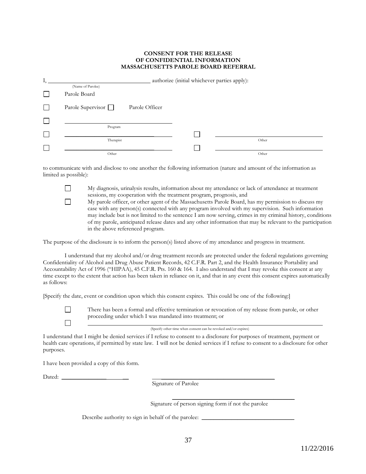#### **CONSENT FOR THE RELEASE OF CONFIDENTIAL INFORMATION MASSACHUSETTS PAROLE BOARD REFERRAL**

|    |                                     | authorize (initial whichever parties apply): |       |
|----|-------------------------------------|----------------------------------------------|-------|
|    | (Name of Parolee)                   |                                              |       |
|    | Parole Board                        |                                              |       |
|    | Parole Supervisor<br>Parole Officer |                                              |       |
| I. |                                     |                                              |       |
|    | Program                             |                                              |       |
|    | Therapist                           |                                              | Other |
|    |                                     |                                              |       |
|    | Other                               |                                              | Other |

to communicate with and disclose to one another the following information (nature and amount of the information as limited as possible):

> My diagnosis, urinalysis results, information about my attendance or lack of attendance at treatment sessions, my cooperation with the treatment program, prognosis, and

My parole officer, or other agent of the Massachusetts Parole Board, has my permission to discuss my case with any person(s) connected with any program involved with my supervision. Such information may include but is not limited to the sentence I am now serving, crimes in my criminal history, conditions of my parole, anticipated release dates and any other information that may be relevant to the participation in the above referenced program.

The purpose of the disclosure is to inform the person(s) listed above of my attendance and progress in treatment.

I understand that my alcohol and/or drug treatment records are protected under the federal regulations governing Confidentiality of Alcohol and Drug Abuse Patient Records, 42 C.F.R. Part 2, and the Health Insurance Portability and Accountability Act of 1996 ("HIPAA), 45 C.F.R. Pts. 160 & 164. I also understand that I may revoke this consent at any time except to the extent that action has been taken in reliance on it, and that in any event this consent expires automatically as follows:

[Specify the date, event or condition upon which this consent expires. This could be one of the following:]



П

 $\Box$ 

There has been a formal and effective termination or revocation of my release from parole, or other proceeding under which I was mandated into treatment; or

(Specify other time when consent can be revoked and/or expires)

I understand that I might be denied services if I refuse to consent to a disclosure for purposes of treatment, payment or health care operations, if permitted by state law. I will not be denied services if I refuse to consent to a disclosure for other purposes.

I have been provided a copy of this form.

Dated: \_\_\_\_\_\_\_\_\_\_\_\_\_\_\_ \_\_ \_\_\_\_\_\_\_\_\_\_\_\_\_\_\_\_\_\_\_\_\_\_\_\_\_\_\_\_\_\_\_\_\_\_\_\_\_\_\_\_\_

Signature of Parolee

 $\overline{\phantom{a}}$  , and the contract of the contract of the contract of the contract of the contract of the contract of the contract of the contract of the contract of the contract of the contract of the contract of the contrac Signature of person signing form if not the parolee

Describe authority to sign in behalf of the parolee: \_\_\_\_\_\_\_\_\_\_\_\_\_\_\_\_\_\_\_\_\_\_\_\_\_\_\_\_